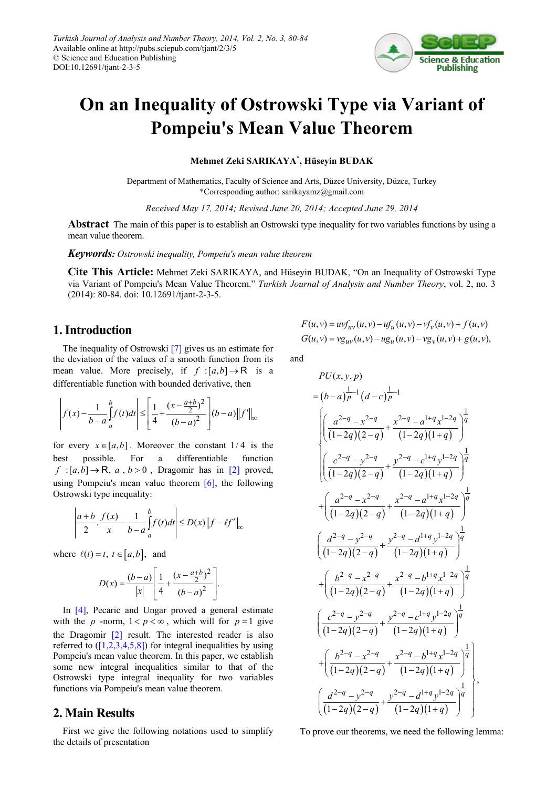

# **On an Inequality of Ostrowski Type via Variant of Pompeiu's Mean Value Theorem**

#### **Mehmet Zeki SARIKAYA\* , Hüseyin BUDAK**

Department of Mathematics, Faculty of Science and Arts, Düzce University, Düzce, Turkey \*Corresponding author: sarikayamz@gmail.com

*Received May 17, 2014; Revised June 20, 2014; Accepted June 29, 2014*

**Abstract** The main of this paper is to establish an Ostrowski type inequality for two variables functions by using a mean value theorem.

*Keywords: Ostrowski inequality, Pompeiu's mean value theorem*

**Cite This Article:** Mehmet Zeki SARIKAYA, and Hüseyin BUDAK, "On an Inequality of Ostrowski Type via Variant of Pompeiu's Mean Value Theorem." *Turkish Journal of Analysis and Number Theory*, vol. 2, no. 3 (2014): 80-84. doi: 10.12691/tjant-2-3-5.

### **1. Introduction**

The inequality of Ostrowski [\[7\]](#page-4-0) gives us an estimate for the deviation of the values of a smooth function from its mean value. More precisely, if  $f : [a,b] \rightarrow \mathbb{R}$  is a differentiable function with bounded derivative, then

$$
\left| f(x) - \frac{1}{b-a} \int_{a}^{b} f(t)dt \right| \leq \left[ \frac{1}{4} + \frac{(x - \frac{a+b}{2})^2}{(b-a)^2} \right] (b-a) \|f'\|_{\infty}
$$

for every  $x \in [a,b]$ . Moreover the constant  $1/4$  is the best possible. For a differentiable function  $f : [a,b] \rightarrow \mathbb{R}$ ,  $a, b > 0$ , Dragomir has in [\[2\]](#page-4-1) proved, using Pompeiu's mean value theorem  $[6]$ , the following Ostrowski type inequality:

$$
\left|\frac{a+b}{2}\cdot\frac{f(x)}{x}-\frac{1}{b-a}\int_{a}^{b}f(t)dt\right|\leq D(x)\left\|f-\ell f'\right\|_{\infty}
$$

where  $\ell(t) = t$ ,  $t \in [a, b]$ , and

$$
D(x) = \frac{(b-a)}{|x|} \left[ \frac{1}{4} + \frac{(x - \frac{a+b}{2})^2}{(b-a)^2} \right].
$$

In [\[4\],](#page-4-3) Pecaric and Ungar proved a general estimate with the *p* -norm,  $1 < p < \infty$ , which will for  $p = 1$  give the Dragomir [\[2\]](#page-4-1) result. The interested reader is also referred to  $([1,2,3,4,5,8])$  for integral inequalities by using Pompeiu's mean value theorem. In this paper, we establish some new integral inequalities similar to that of the Ostrowski type integral inequality for two variables functions via Pompeiu's mean value theorem.

### **2. Main Results**

First we give the following notations used to simplify the details of presentation

$$
F(u, v) = uv f_{uv}(u, v) - u f_u(u, v) - v f_v(u, v) + f(u, v)
$$
  
\n
$$
G(u, v) = v g_{uv}(u, v) - u g_u(u, v) - v g_v(u, v) + g(u, v),
$$

and

$$
PU(x, y, p)
$$
\n
$$
= (b-a)^{\frac{1}{p}-1} (d-c)^{\frac{1}{p}-1}
$$
\n
$$
\left| \left( \frac{a^{2-q} - x^{2-q}}{(1-2q)(2-q)} + \frac{x^{2-q} - a^{1+q} x^{1-2q}}{(1-2q)(1+q)} \right)^{\frac{1}{q}} \right|
$$
\n
$$
\left| \left( \frac{c^{2-q} - y^{2-q}}{(1-2q)(2-q)} + \frac{y^{2-q} - c^{1+q} y^{1-2q}}{(1-2q)(1+q)} \right)^{\frac{1}{q}} \right|
$$
\n
$$
+ \left( \frac{a^{2-q} - x^{2-q}}{(1-2q)(2-q)} + \frac{x^{2-q} - a^{1+q} x^{1-2q}}{(1-2q)(1+q)} \right)^{\frac{1}{q}}
$$
\n
$$
\left( \frac{d^{2-q} - y^{2-q}}{(1-2q)(2-q)} + \frac{y^{2-q} - d^{1+q} y^{1-2q}}{(1-2q)(1+q)} \right)^{\frac{1}{q}}
$$
\n
$$
+ \left( \frac{b^{2-q} - x^{2-q}}{(1-2q)(2-q)} + \frac{x^{2-q} - b^{1+q} x^{1-2q}}{(1-2q)(1+q)} \right)^{\frac{1}{q}}
$$
\n
$$
\left( \frac{c^{2-q} - y^{2-q}}{(1-2q)(2-q)} + \frac{y^{2-q} - c^{1+q} y^{1-2q}}{(1-2q)(1+q)} \right)^{\frac{1}{q}}
$$
\n
$$
+ \left( \frac{b^{2-q} - x^{2-q}}{(1-2q)(2-q)} + \frac{x^{2-q} - b^{1+q} x^{1-2q}}{(1-2q)(1+q)} \right)^{\frac{1}{q}}
$$
\n
$$
\left( \frac{d^{2-q} - y^{2-q}}{(1-2q)(2-q)} + \frac{y^{2-q} - d^{1+q} y^{1-2q}}{(1-2q)(1+q)} \right)^{\frac{1}{q}}
$$

To prove our theorems, we need the following lemma: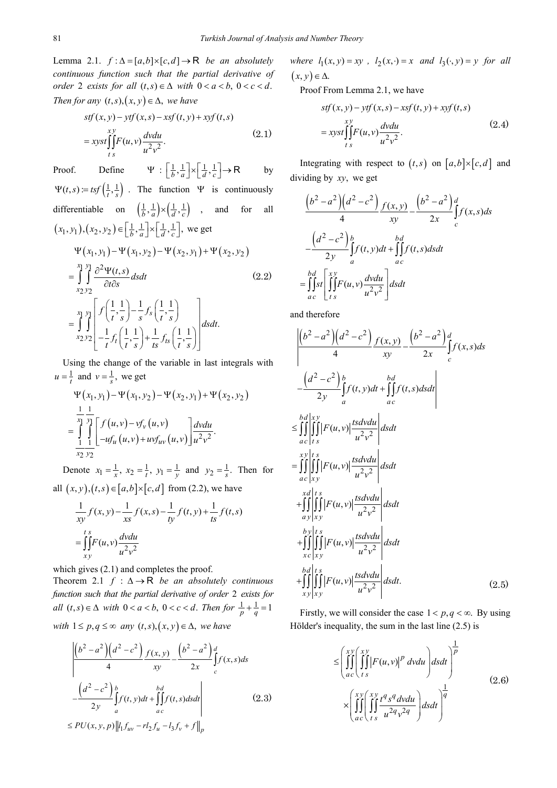Lemma 2.1.  $f : \Delta = [a, b] \times [c, d] \rightarrow \mathbb{R}$  *be an absolutely continuous function such that the partial derivative of order* 2 *exists for all*  $(t, s) \in \Delta$  *with*  $0 < a < b$ ,  $0 < c < d$ . *Then for any*  $(t, s), (x, y) \in \Delta$ *, we have* 

$$
stf(x, y) - ytf(x, s) - xsf(t, y) + xyf(t, s)
$$
  
= 
$$
xyst \iint_{ts}^{xy} F(u, v) \frac{dvdu}{u^2 v^2}.
$$
 (2.1)

Proof. Define  $\Psi : \left[\frac{1}{b}, \frac{1}{a}\right] \times \left[\frac{1}{d}, \frac{1}{c}\right] \rightarrow \mathsf{R}$  by  $\Psi(t, s) = t s f\left(\frac{1}{t}, \frac{1}{s}\right)$ . The function  $\Psi$  is continuously differentiable on  $\left(\frac{1}{b}, \frac{1}{a}\right) \times \left(\frac{1}{d}, \frac{1}{c}\right)$ , and for all  $(x_1, y_1), (x_2, y_2) \in \left[\frac{1}{b}, \frac{1}{a}\right] \times \left[\frac{1}{d}, \frac{1}{c}\right]$ , we get

$$
\Psi(x_1, y_1) - \Psi(x_1, y_2) - \Psi(x_2, y_1) + \Psi(x_2, y_2)
$$
\n
$$
= \int_{x_2}^{x_1} \int_{y_2}^{y_1} \frac{\partial^2 \Psi(t, s)}{\partial t \partial s} ds dt
$$
\n(2.2)\n
$$
= \int_{x_2}^{x_1} \int_{y_2}^{y_1} \left[ f\left(\frac{1}{t}, \frac{1}{s}\right) - \frac{1}{s} f_s\left(\frac{1}{t}, \frac{1}{s}\right) \right] ds dt.
$$
\n
$$
= \int_{x_2}^{x_1} \int_{y_2}^{y_1} \left[ -\frac{1}{t} f_t\left(\frac{1}{t}, \frac{1}{s}\right) + \frac{1}{ts} f_{ts}\left(\frac{1}{t}, \frac{1}{s}\right) \right] ds dt.
$$

Using the change of the variable in last integrals with 1  $u = \frac{1}{t}$  and  $v = \frac{1}{s}$ , we get

$$
\Psi(x_1, y_1) - \Psi(x_1, y_2) - \Psi(x_2, y_1) + \Psi(x_2, y_2)
$$
  
= 
$$
\int_{-\frac{1}{x_1}}^{\frac{1}{x_1}} \int_{-\frac{1}{x_2}}^{\frac{1}{x_2}} f(u, v) - v f_v(u, v)
$$

$$
\int_{-\frac{1}{x_2}}^{\frac{1}{x_1}} \frac{dv du}{v^2}.
$$

Denote  $x_1 = \frac{1}{x}$ ,  $x_2 = \frac{1}{t}$ ,  $y_1 = \frac{1}{y}$  and  $y_2 = \frac{1}{s}$ . Then for all  $(x, y), (t, s) \in [a, b] \times [c, d]$  from (2.2), we have

$$
\frac{1}{xy}f(x,y) - \frac{1}{xs}f(x,s) - \frac{1}{ty}f(t,y) + \frac{1}{ts}f(t,s)
$$
\n
$$
= \iint_{xy}^{ts} F(u,v) \frac{dvdu}{u^2v^2}
$$

which gives  $(2.1)$  and completes the proof.

Theorem 2.1  $f : \Delta \rightarrow \mathbb{R}$  *be an absolutely continuous function such that the partial derivative of order* 2 *exists for all*  $(t, s) \in \Delta$  *with*  $0 < a < b$ ,  $0 < c < d$ . *Then for*  $\frac{1}{p} + \frac{1}{q} = 1$ *with*  $1 \leq p, q \leq \infty$  *any*  $(t, s), (x, y) \in \Delta$ *, we have* 

$$
\left| \frac{\left(b^2 - a^2\right) \left(d^2 - c^2\right)}{4} \frac{f(x, y)}{xy} - \frac{\left(b^2 - a^2\right) d}{2x} \int_c^d f(x, s) ds - \frac{\left(d^2 - c^2\right) b}{2y} \int_a^b f(t, y) dt + \int_{ac}^b f(t, s) ds dt \right| \le PU(x, y, p) \|l_1 f_{uv} - r l_2 f_u - l_3 f_v + f\|_p \tag{2.3}
$$

*where*  $l_1(x, y) = xy$ ,  $l_2(x, \cdot) = x$  and  $l_3(\cdot, y) = y$  for all  $(x, y) \in \Delta$ .

Proof From Lemma 2.1, we have

$$
stf(x, y) - ytf(x, s) - xsf(t, y) + xyf(t, s)
$$
  
= 
$$
xyst \iint_{ts}^{xy} F(u, v) \frac{dvdu}{u^2 v^2}.
$$
 (2.4)

Integrating with respect to  $(t,s)$  on  $[a,b] \times [c,d]$  and dividing by *xy*, we get

$$
\frac{\left(b^2 - a^2\right)\left(d^2 - c^2\right)}{4} \frac{f(x, y)}{xy} - \frac{\left(b^2 - a^2\right)d}{2x} \int_c^d f(x, s)ds
$$
  

$$
-\frac{\left(d^2 - c^2\right)b}{2y} \int_a^b f(t, y)dt + \iint_{ac}^d f(t, s)dsdt
$$
  

$$
= \iint_{ac}^{bd} \left[\iint_{ts}^x F(u, v) \frac{dvdu}{u^2 v^2}\right] dsdt
$$

and therefore

$$
\left| \frac{(b^2 - a^2)(a^2 - c^2)}{4} \frac{f(x, y)}{xy} - \frac{(b^2 - a^2)}{2x} \frac{d}{dx} \int_c f(x, s) ds \right|
$$
  
\n
$$
- \frac{(d^2 - c^2)}{2y} \int_a^b f(t, y) dt + \int_a^b f(t, s) ds dt
$$
  
\n
$$
\leq \int_a^b \int_a^b \int_a^b |F(u, v)| \frac{ts dv du}{u^2 v^2} ds dt
$$
  
\n
$$
= \int_a^b \int_a^b \int_a^b |F(u, v)| \frac{ts dv du}{u^2 v^2} ds dt
$$
  
\n
$$
+ \int_a^b \int_a^b \int_a^b |F(u, v)| \frac{ts dv du}{u^2 v^2} ds dt
$$
  
\n
$$
+ \int_a^b \int_a^b \int_a^b |F(u, v)| \frac{ts dv du}{u^2 v^2} ds dt
$$
  
\n
$$
+ \int_a^b \int_a^b \int_a^b |F(u, v)| \frac{ts dv du}{u^2 v^2} ds dt
$$
  
\n
$$
+ \int_a^b \int_a^b \int_a^b |F(u, v)| \frac{ts dv du}{u^2 v^2} ds dt.
$$
 (2.5)

Firstly, we will consider the case  $1 < p, q < \infty$ . By using Hölder's inequality, the sum in the last line (2.5) is

1 1 2 2 (,) *x x y y p p ac t s x x y y q q q q q ac t s F u v dvdu dsdt t s dvdu dsdt u v* ≤ × ∫∫ ∫∫ ∫∫ ∫∫ (2.6)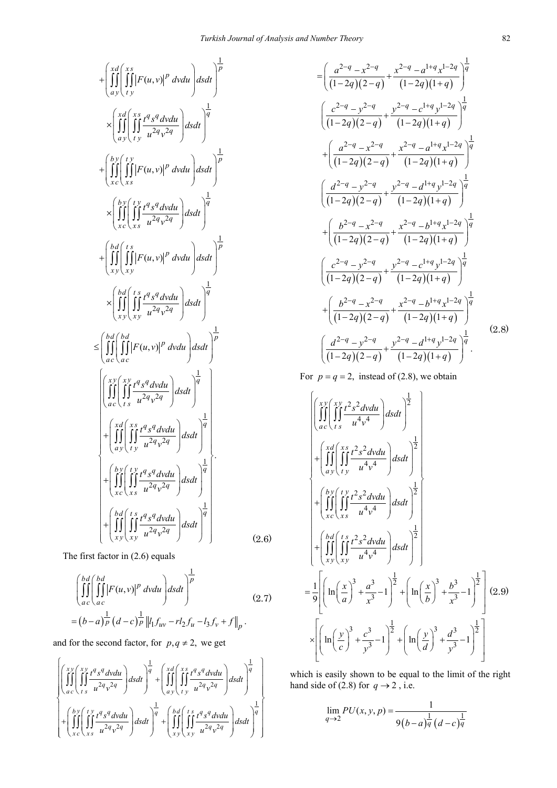$$
+\left(\iint_{a}^{xd} \left(\iint_{y}^{x} |F(u,v)|^{p} dvdu\right) dsdt\right)^{\frac{1}{p}}\n\times \left(\iint_{a}^{xd} \left(\iint_{y}^{x} \frac{f^{q}s^{q} dvdu}{u^{2q}v^{2q}}\right) dsdt\right)^{\frac{1}{q}}\n\times \left(\iint_{xc}^{b} \left(\iint_{xs}^{f} |F(u,v)|^{p} dvdu\right) dsdt\right)^{\frac{1}{p}}\n\times \left(\iint_{xc}^{b} \left(\iint_{xc}^{f} \frac{f^{q}s^{q} dvdu}{u^{2q}v^{2q}}\right) dsdt\right)^{\frac{1}{q}}\n\times \left(\iint_{xc}^{b} \left(\iint_{xy}^{f} \frac{f^{q}s^{q} dvdu}{u^{2q}v^{2q}}\right) dsdt\right)^{\frac{1}{q}}\n\times \left(\iint_{xy}^{b} \left(\iint_{xy}^{f} |F(u,v)|^{p} dvdu\right) dsdt\right)^{\frac{1}{p}}\n\times \left(\iint_{xy}^{b} \left(\iint_{xy}^{f} \frac{f^{q}s^{q} dvdu}{u^{2q}v^{2q}}\right) dsdt\right)^{\frac{1}{q}}\n\times \left(\iint_{a c}^{b d} \left(\iint_{a c}^{b d} |F(u,v)|^{p} dvdu\right) dsdt\right)^{\frac{1}{p}}\n\times \left(\iint_{a c}^{b d} \left(\iint_{xg}^{f} \frac{f^{q}s^{q} dvdu}{u^{2q}v^{2q}}\right) dsdt\right)^{\frac{1}{q}}\n\times \left(\iint_{a c}^{f} \left(\iint_{xg}^{f} \frac{f^{q}s^{q} dvdu}{u^{2q}v^{2q}}\right) dsdt\right)^{\frac{1}{q}}\n\times \left(\iint_{xg}^{f} \left(\iint_{xg}^{f} \frac{f^{q}s^{q} dvdu}{u^{2q}v^{2q}}\right) dsdt\right)^{\frac{1}{q}}\n\times \left(\iint_{xg}^{f} \left(\iint_{xg}^{f} \frac{f^{q}s^{q} dvdu}{u^{2q}v^{2q}}\right) dsdt\right)^{\frac{1}{q}}
$$

The first factor in (2.6) equals

$$
\left(\iiint_{ac}^{bd} \left(\iiint_{ac}^{bd} |F(u,v)|^p \,dvdu\right) dsdt\right)^{\frac{1}{p}}\n= (b-a)_P^{\frac{1}{p}} (d-c)_P^{\frac{1}{p}} \left\|l_1 f_{uv} - r l_2 f_u - l_3 f_v + f\right\|_p.
$$
\n(2.7)

and for the second factor, for  $p, q \neq 2$ , we get

$$
\left\{\begin{pmatrix} \int_{ac}^{x} \int_{t}^{x} \int_{u}^{q} \int_{y}^{q} \int_{q}^{q} dv du \\ \int_{ac}^{x} \int_{t}^{x} \int_{u}^{q} \int_{y}^{q} dv du \end{pmatrix} ds dt \right\}^{\frac{1}{q}} + \left( \int_{a}^{x} \int_{t}^{d} \int_{y}^{x} \int_{u}^{q} \int_{y}^{q} dv du \right) ds dt \right\}^{\frac{1}{q}} \right\}
$$
\n
$$
\left\{\begin{pmatrix} \int_{c}^{b} \int_{x}^{t} \int_{u}^{q} \int_{y}^{q} \int_{q}^{q} dv du \\ \int_{x}^{d} \int_{u}^{r} \int_{y}^{r} \int_{u}^{r} dv du \end{pmatrix} ds dt \right\}^{\frac{1}{q}} + \left( \int_{x}^{b} \int_{y}^{r} \int_{x}^{r} \int_{y}^{r} \int_{u}^{r} \int_{y}^{q} \int_{q}^{r} dv du \right)^{\frac{1}{q}} \right\}
$$

$$
= \left(\frac{a^{2-q} - x^{2-q}}{(1-2q)(2-q)} + \frac{x^{2-q} - a^{1+q}x^{1-2q}}{(1-2q)(1+q)}\right)^{\frac{1}{q}}
$$
  

$$
\left(\frac{c^{2-q} - y^{2-q}}{(1-2q)(2-q)} + \frac{y^{2-q} - c^{1+q}y^{1-2q}}{(1-2q)(1+q)}\right)^{\frac{1}{q}}
$$
  

$$
+ \left(\frac{a^{2-q} - x^{2-q}}{(1-2q)(2-q)} + \frac{x^{2-q} - a^{1+q}x^{1-2q}}{(1-2q)(1+q)}\right)^{\frac{1}{q}}
$$
  

$$
\left(\frac{d^{2-q} - y^{2-q}}{(1-2q)(2-q)} + \frac{y^{2-q} - d^{1+q}y^{1-2q}}{(1-2q)(1+q)}\right)^{\frac{1}{q}}
$$
  

$$
+ \left(\frac{b^{2-q} - x^{2-q}}{(1-2q)(2-q)} + \frac{x^{2-q} - b^{1+q}x^{1-2q}}{(1-2q)(1+q)}\right)^{\frac{1}{q}}
$$
  

$$
\left(\frac{c^{2-q} - y^{2-q}}{(1-2q)(2-q)} + \frac{y^{2-q} - c^{1+q}y^{1-2q}}{(1-2q)(1+q)}\right)^{\frac{1}{q}}
$$
  

$$
+ \left(\frac{b^{2-q} - x^{2-q}}{(1-2q)(2-q)} + \frac{x^{2-q} - b^{1+q}x^{1-2q}}{(1-2q)(1+q)}\right)^{\frac{1}{q}}
$$
  

$$
\left(\frac{d^{2-q} - y^{2-q}}{(1-2q)(2-q)} + \frac{y^{2-q} - d^{1+q}y^{1-2q}}{(1-2q)(1+q)}\right)^{\frac{1}{q}}
$$
  

$$
\left(\frac{d^{2-q} - y^{2-q}}{(1-2q)(2-q)} + \frac{y^{2-q} - d^{1+q}y^{1-2q}}{(1-2q)(1+q)}\right)^{\frac{1}{q}}
$$
  
(2.8)

For  $p = q = 2$ , instead of (2.8), we obtain

$$
\begin{aligned}\n&\left\{\begin{bmatrix}\n\int_{a}^{x} \int_{t}^{x} \int_{y}^{x} \frac{t^{2} s^{2} dv du}{u^{4} v^{4}} \, ds dt \\
+\int_{a}^{x} \int_{t}^{x} \int_{y}^{x} \frac{t^{2} s^{2} dv du}{u^{4} v^{4}} \, ds dt\n\end{bmatrix} \right\}^{2} + \left\{\begin{bmatrix}\n\int_{a}^{x} \int_{t}^{x} \int_{y}^{x} \frac{t^{2} s^{2} dv du}{u^{4} v^{4}} \, ds dt \\
+\int_{x}^{x} \int_{x}^{x} \int_{y}^{x} \int_{y}^{x} \frac{t^{2} s^{2} dv du}{u^{4} v^{4}} \, ds dt\n\end{bmatrix}^{2} + \left\{\begin{bmatrix}\n\int_{x}^{b} \int_{y}^{x} \int_{y}^{x} \frac{t^{2} s^{2} dv du}{u^{4} v^{4}} \, ds dt\n\end{bmatrix}^{2}\right\} \\
&= \frac{1}{9} \left[\left(\ln\left(\frac{x}{a}\right)^{3} + \frac{a^{3}}{x^{3}} - 1\right)^{2} + \left(\ln\left(\frac{x}{b}\right)^{3} + \frac{b^{3}}{x^{3}} - 1\right)^{2}\right] (2.9) \\
&\times \left[\left(\ln\left(\frac{y}{c}\right)^{3} + \frac{c^{3}}{y^{3}} - 1\right)^{2} + \left(\ln\left(\frac{y}{d}\right)^{3} + \frac{d^{3}}{y^{3}} - 1\right)^{2}\right]\n\end{aligned}\right\}\n\end{aligned}
$$

which is easily shown to be equal to the limit of the right hand side of (2.8) for  $q \rightarrow 2$ , i.e.

$$
\lim_{q \to 2} PU(x, y, p) = \frac{1}{9(b-a)^{\frac{1}{q}} (d-c)^{\frac{1}{q}}}
$$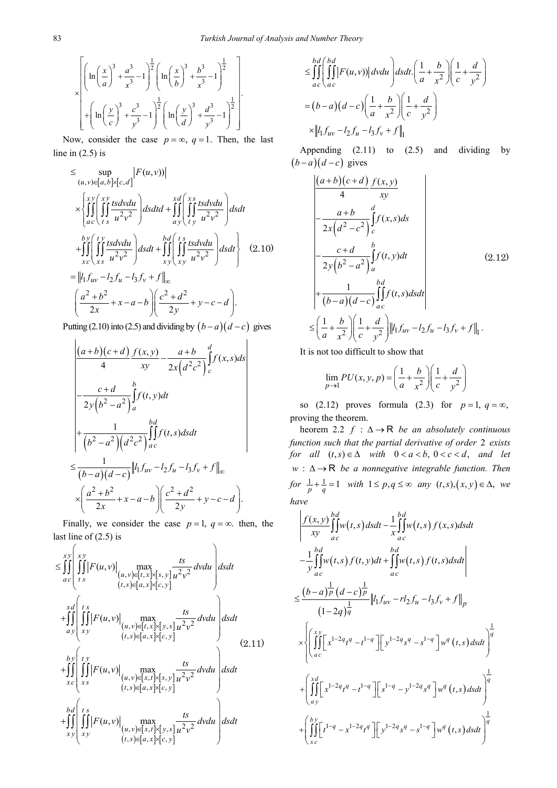$$
\times \left[ \left( \ln \left( \frac{x}{a} \right)^3 + \frac{a^3}{x^3} - 1 \right)^{\frac{1}{2}} \left( \ln \left( \frac{x}{b} \right)^3 + \frac{b^3}{x^3} - 1 \right)^{\frac{1}{2}} \right] + \left( \ln \left( \frac{y}{c} \right)^3 + \frac{c^3}{y^3} - 1 \right)^{\frac{1}{2}} \left( \ln \left( \frac{y}{d} \right)^3 + \frac{d^3}{y^3} - 1 \right)^{\frac{1}{2}} \right].
$$

Now, consider the case  $p = \infty$ ,  $q = 1$ . Then, the last line in  $(2.5)$  is

$$
\leq \sup_{(u,v)\in[a,b]\times[c,d]} |F(u,v)|
$$
\n
$$
\times \left\{ \iint_{ac} \left( \iint_{ts} \frac{xs}{u^2v^2} \right) ds dt d + \iint_{ay} \left( \iint_{ty} \frac{tsdvdu}{u^2v^2} \right) ds dt
$$
\n
$$
+ \iint_{xc} \left( \iint_{xs} \frac{tsdvdu}{u^2v^2} \right) ds dt + \iint_{xy} \left( \iint_{xy} \frac{tsdvdu}{u^2v^2} \right) ds dt \right\} (2.10)
$$
\n
$$
= ||l_1 f_{uv} - l_2 f_u - l_3 f_v + f||_{\infty}
$$
\n
$$
\left( \frac{a^2 + b^2}{2x} + x - a - b \right) \left( \frac{c^2 + d^2}{2y} + y - c - d \right).
$$

Putting (2.10) into (2.5) and dividing by  $(b-a)(d-c)$  gives

$$
\frac{(a+b)(c+d)}{4} \frac{f(x,y)}{xy} - \frac{a+b}{2x(a^2c^2)} \int_c^d f(x,s)ds
$$
\n
$$
- \frac{c+d}{2y(b^2-a^2)} \int_a^b f(t,y)dt
$$
\n
$$
+ \frac{1}{(b^2-a^2)(a^2c^2)} \int_{ac}^{bd} f(t,s)dsdt
$$
\n
$$
\leq \frac{1}{(b-a)(d-c)} ||h_1f_{uv} - h_2f_u - h_3f_v + f||_{\infty}
$$
\n
$$
\times \left(\frac{a^2+b^2}{2x} + x-a-b\right) \left(\frac{c^2+d^2}{2y} + y-c-d\right).
$$

Finally, we consider the case  $p = 1$ ,  $q = \infty$ , then, the last line of (2.5) is

$$
\leq \iint_{ac} \left( \iint_{ts} xy \right) \max_{\substack{(u,v)\in[t,x]\times[s,y] \\ (t,s)\in[a,x]\times[c,y]}} \frac{ts}{u^2v^2} dv du \right) ds dt
$$
  
+
$$
\iint_{ay} \left( \iint_{xy} t s \max_{\substack{(u,v)\in[t,x]\times[y,s] \\ (t,s)\in[a,x]\times[c,y]}} \frac{ts}{u^2v^2} dv du \right) ds dt
$$
  
+
$$
\iint_{xc} \left( \iint_{xs} y \right) \left( \iint_{(u,v)\in[x,t]\times[s,y] \times [u^2v^2]} \frac{ts}{u^2v^2} dv du \right) ds dt
$$
  
+
$$
\iint_{xc} \left( \iint_{xs} y \right) \left( \iint_{(u,v)\in[x,t]\times[s,y] \times [u^2v^2]} \frac{ts}{u^2v^2} dv du \right) ds dt
$$
  
+
$$
\iint_{xy} \left( \iint_{x} y \right) \left( \iint_{(u,v)\in[x,t]\times[y,s] \times [u^2v^2]} \frac{ts}{u^2v^2} dv du \right) ds dt
$$
  
+
$$
\iint_{x} \left( \iint_{x} s \right) \left( \iint_{(u,v)\in[x,t]\times[y,s] \times [u^2v^2]} \frac{ts}{u^2v^2} dv du \right) ds dt
$$

$$
\leq \iint_{ac}^{bd} \left( \iint_{ac}^{bd} |F(u, v)| \, dvdu \right) dsdt \cdot \left( \frac{1}{a} + \frac{b}{x^2} \right) \left( \frac{1}{c} + \frac{d}{y^2} \right)
$$
\n
$$
= (b - a)(d - c) \left( \frac{1}{a} + \frac{b}{x^2} \right) \left( \frac{1}{c} + \frac{d}{y^2} \right)
$$
\n
$$
\times \left\| l_1 f_{uv} - l_2 f_u - l_3 f_v + f \right\|_1
$$

Appending (2.11) to (2.5) and dividing by  $(b-a)(d-c)$  gives

$$
\frac{(a+b)(c+d)}{4} \frac{f(x,y)}{xy}
$$
\n
$$
-\frac{a+b}{2x(a^2-c^2)} \int_c^d f(x,s)ds
$$
\n
$$
-\frac{c+d}{2y(b^2-a^2)} \int_a^b f(t,y)dt
$$
\n
$$
+\frac{1}{(b-a)(d-c)} \int_{ac}^{bd} f(t,s)dsdt
$$
\n
$$
\leq \left(\frac{1}{a} + \frac{b}{x^2}\right) \left(\frac{1}{c} + \frac{d}{y^2}\right) \|l_1 f_{uv} - l_2 f_u - l_3 f_v + f\|_1.
$$
\n(2.12)

It is not too difficult to show that

$$
\lim_{p \to 1} PU(x, y, p) = \left(\frac{1}{a} + \frac{b}{x^2}\right) \left(\frac{1}{c} + \frac{d}{y^2}\right)
$$

so (2.12) proves formula (2.3) for  $p=1, q=\infty$ , proving the theorem.

heorem 2.2  $f : \Delta \rightarrow \mathbb{R}$  *be an absolutely continuous function such that the partial derivative of order* 2 *exists for all*  $(t, s) \in \Delta$  *with*  $0 < a < b$ ,  $0 < c < d$ , and let *w* : ∆ → R *be a nonnegative integrable function. Then for*  $\frac{1}{p} + \frac{1}{q} = 1$  *with*  $1 \le p, q \le \infty$  *any*  $(t, s), (x, y) \in \Delta$ , *we have*

$$
\int \frac{f(x, y)}{xy} \int_{ac}^{bd} w(t, s) ds dt - \frac{1}{x} \int_{ac}^{bd} w(t, s) f(x, s) ds dt
$$
  
\n
$$
- \frac{1}{y} \int_{ac}^{bd} w(t, s) f(t, y) dt + \int_{ac}^{bd} w(t, s) f(t, s) ds dt
$$
  
\n
$$
\leq \frac{(b-a) \frac{1}{p} (d-c) \frac{1}{p}}{(1-2q) \frac{1}{q}} \|f_1 f_{uv} - r f_2 f_u - f_3 f_v + f\|_p
$$
  
\n
$$
\times \left\{ \int_{ac}^{x y} \left[ x^{1-2q} t^q - t^{1-q} \right] \left[ y^{1-2q} s^q - s^{1-q} \right] w^q(t, s) ds dt \right\}^{\frac{1}{q}}
$$
  
\n
$$
+ \left\{ \int_{ay}^{xd} \left[ x^{1-2q} t^q - t^{1-q} \right] \left[ s^{1-q} - y^{1-2q} s^q \right] w^q(t, s) ds dt \right\}^{\frac{1}{q}}
$$
  
\n
$$
+ \left\{ \int_{ac}^{by} \left[ t^{1-q} - x^{1-2q} t^q \right] \left[ y^{1-2q} s^q - s^{1-q} \right] w^q(t, s) ds dt \right\}^{\frac{1}{q}}
$$